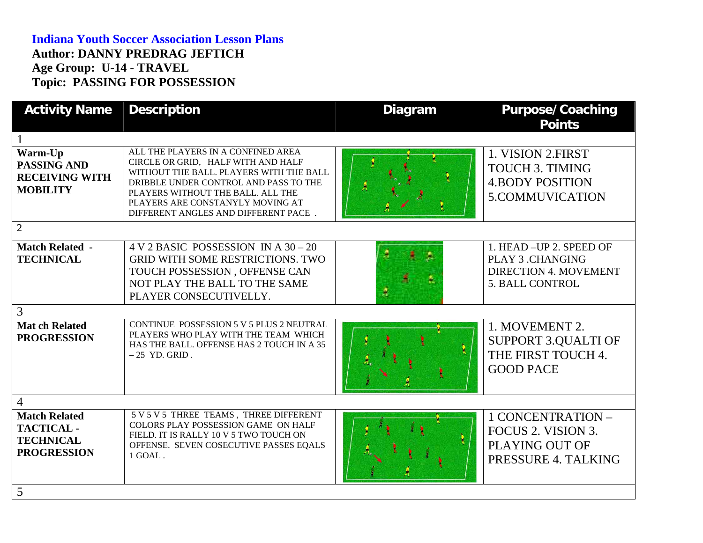## **Indiana Youth Soccer Association Lesson Plans Author: DANNY PREDRAG JEFTICH Age Group: U-14 - TRAVEL Topic: PASSING FOR POSSESSION**

| <b>Activity Name</b>                                                               | <b>Description</b>                                                                                                                                                                                                                                                            | <b>Diagram</b> | <b>Purpose/Coaching</b><br><b>Points</b>                                                                      |  |
|------------------------------------------------------------------------------------|-------------------------------------------------------------------------------------------------------------------------------------------------------------------------------------------------------------------------------------------------------------------------------|----------------|---------------------------------------------------------------------------------------------------------------|--|
|                                                                                    |                                                                                                                                                                                                                                                                               |                |                                                                                                               |  |
| Warm-Up<br><b>PASSING AND</b><br><b>RECEIVING WITH</b><br><b>MOBILITY</b>          | ALL THE PLAYERS IN A CONFINED AREA<br>CIRCLE OR GRID, HALF WITH AND HALF<br>WITHOUT THE BALL. PLAYERS WITH THE BALL<br>DRIBBLE UNDER CONTROL AND PASS TO THE<br>PLAYERS WITHOUT THE BALL. ALL THE<br>PLAYERS ARE CONSTANYLY MOVING AT<br>DIFFERENT ANGLES AND DIFFERENT PACE. |                | 1. VISION 2.FIRST<br><b>TOUCH 3. TIMING</b><br><b>4.BODY POSITION</b><br>5.COMMUVICATION                      |  |
| $\overline{2}$                                                                     |                                                                                                                                                                                                                                                                               |                |                                                                                                               |  |
| <b>Match Related -</b><br><b>TECHNICAL</b>                                         | $4 V 2 BASIC$ POSSESSION IN A 30 - 20<br><b>GRID WITH SOME RESTRICTIONS. TWO</b><br>TOUCH POSSESSION, OFFENSE CAN<br>NOT PLAY THE BALL TO THE SAME<br>PLAYER CONSECUTIVELLY.                                                                                                  | A              | 1. HEAD - UP 2. SPEED OF<br><b>PLAY 3 .CHANGING</b><br><b>DIRECTION 4. MOVEMENT</b><br><b>5. BALL CONTROL</b> |  |
| 3                                                                                  |                                                                                                                                                                                                                                                                               |                |                                                                                                               |  |
| <b>Mat ch Related</b><br><b>PROGRESSION</b>                                        | CONTINUE POSSESSION 5 V 5 PLUS 2 NEUTRAL<br>PLAYERS WHO PLAY WITH THE TEAM WHICH<br>HAS THE BALL. OFFENSE HAS 2 TOUCH IN A 35<br>$-25$ YD. GRID.                                                                                                                              |                | 1. MOVEMENT 2.<br><b>SUPPORT 3.QUALTI OF</b><br>THE FIRST TOUCH 4.<br><b>GOOD PACE</b>                        |  |
| $\overline{4}$                                                                     |                                                                                                                                                                                                                                                                               |                |                                                                                                               |  |
| <b>Match Related</b><br><b>TACTICAL-</b><br><b>TECHNICAL</b><br><b>PROGRESSION</b> | 5 V 5 V 5 THREE TEAMS, THREE DIFFERENT<br>COLORS PLAY POSSESSION GAME ON HALF<br>FIELD. IT IS RALLY 10 V 5 TWO TOUCH ON<br>OFFENSE. SEVEN COSECUTIVE PASSES EQALS<br>1 GOAL.                                                                                                  |                | 1 CONCENTRATION -<br>FOCUS 2. VISION 3.<br>PLAYING OUT OF<br>PRESSURE 4. TALKING                              |  |
| 5                                                                                  |                                                                                                                                                                                                                                                                               |                |                                                                                                               |  |